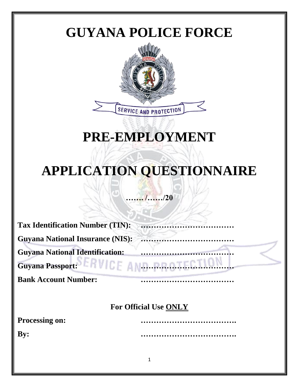

# **PRE-EMPLOYMENT**

# **APPLICATION QUESTIONNAIRE**

## **……. /……/20**

| <b>Tax Identification Number (TIN):</b> |                              |
|-----------------------------------------|------------------------------|
| <b>Guyana National Insurance (NIS):</b> |                              |
| <b>Guyana National Identification:</b>  |                              |
| <b>Bank Account Number:</b>             |                              |
|                                         | <b>For Official Use ONLY</b> |
| <b>Processing on:</b>                   |                              |
|                                         |                              |
| $\mathbf{By:}$                          |                              |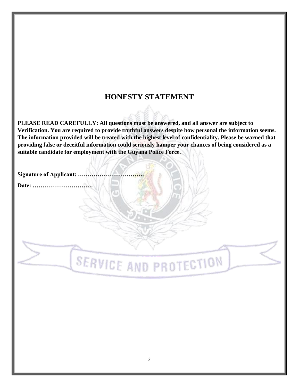### **HONESTY STATEMENT**

**PLEASE READ CAREFULLY: All questions must be answered, and all answer are subject to Verification. You are required to provide truthful answers despite how personal the information seems. The information provided will be treated with the highest level of confidentiality. Please be warned that providing false or deceitful information could seriously hamper your chances of being considered as a suitable candidate for employment with the Guyana Police Force.**

**Signature of Applicant: ..** 

**Date: ………………………….**

**SERVICE AND PROTECTION**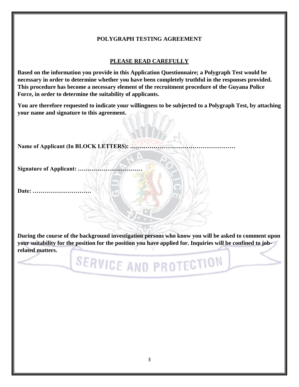#### **POLYGRAPH TESTING AGREEMENT**

#### **PLEASE READ CAREFULLY**

**Based on the information you provide in this Application Questionnaire; a Polygraph Test would be necessary in order to determine whether you have been completely truthful in the responses provided. This procedure has become a necessary element of the recruitment procedure of the Guyana Police Force, in order to determine the suitability of applicants.**

**You are therefore requested to indicate your willingness to be subjected to a Polygraph Test, by attaching your name and signature to this agreement.**

**Name of Applicant (In BLOCK LETTERS): ………………………………………………**

Signature of Applicant: ..

**Date: …………………………**

**During the course of the background investigation persons who know you will be asked to comment upon your suitability for the position for the position you have applied for. Inquiries will be confined to jobrelated matters.**

SERVICE AND PROTECTION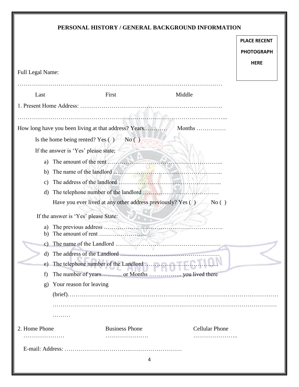### **PERSONAL HISTORY / GENERAL BACKGROUND INFORMATION**

|                         |                                                                                                                       |   |                       | <b>PLACE RECENT</b> |
|-------------------------|-----------------------------------------------------------------------------------------------------------------------|---|-----------------------|---------------------|
|                         |                                                                                                                       |   |                       | <b>PHOTOGRAPH</b>   |
|                         |                                                                                                                       |   |                       | <b>HERE</b>         |
| <b>Full Legal Name:</b> |                                                                                                                       |   |                       |                     |
|                         |                                                                                                                       |   |                       |                     |
| Last                    | First                                                                                                                 |   | Middle                |                     |
|                         |                                                                                                                       |   |                       |                     |
|                         | <u>Martin (Martin 1989), and Starting (Martin 1989), and Starting (Martin 1989), and Starting (Martin 1989), and </u> |   |                       |                     |
|                         | How long have you been living at that address? Years                                                                  |   | Months                |                     |
|                         | Is the home being rented? Yes $( )$ No $( )$                                                                          |   |                       |                     |
|                         | If the answer is 'Yes' please state;                                                                                  |   |                       |                     |
| a)                      |                                                                                                                       |   |                       |                     |
| b)                      |                                                                                                                       |   |                       |                     |
| C)                      |                                                                                                                       |   |                       |                     |
| d)                      |                                                                                                                       |   |                       |                     |
|                         | Have you ever lived at any other address previously? Yes ()                                                           |   | No()                  |                     |
|                         | If the answer is 'Yes' please State:                                                                                  |   |                       |                     |
| a)<br>b)                |                                                                                                                       |   |                       |                     |
|                         | The name of the Landlord                                                                                              |   |                       |                     |
| $\rm d)$                |                                                                                                                       |   |                       |                     |
| e)                      | The telephone number of the Landlord                                                                                  |   |                       |                     |
| f)                      |                                                                                                                       |   |                       |                     |
| g)                      | Your reason for leaving                                                                                               |   |                       |                     |
|                         |                                                                                                                       |   |                       |                     |
|                         |                                                                                                                       |   |                       |                     |
|                         | .                                                                                                                     |   |                       |                     |
| 2. Home Phone           | <b>Business Phone</b>                                                                                                 |   | <b>Cellular Phone</b> |                     |
|                         |                                                                                                                       |   |                       |                     |
|                         |                                                                                                                       |   |                       |                     |
|                         |                                                                                                                       | 4 |                       |                     |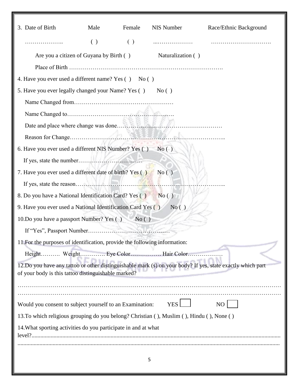| 3. Date of Birth                                                                          | Male               | Female             | NIS Number        | Race/Ethnic Background                                                                                     |
|-------------------------------------------------------------------------------------------|--------------------|--------------------|-------------------|------------------------------------------------------------------------------------------------------------|
| .                                                                                         | $\left( \ \right)$ | $\left( \ \right)$ |                   |                                                                                                            |
| Are you a citizen of Guyana by Birth ()                                                   |                    |                    | Naturalization () |                                                                                                            |
|                                                                                           |                    |                    |                   |                                                                                                            |
| 4. Have you ever used a different name? Yes () No ()                                      |                    |                    |                   |                                                                                                            |
| 5. Have you ever legally changed your Name? Yes ()                                        |                    |                    | No()              |                                                                                                            |
|                                                                                           |                    |                    |                   |                                                                                                            |
|                                                                                           |                    |                    |                   |                                                                                                            |
|                                                                                           |                    |                    |                   |                                                                                                            |
|                                                                                           |                    |                    |                   |                                                                                                            |
| 6. Have you ever used a different NIS Number? Yes $( )$ No $( )$                          |                    |                    |                   |                                                                                                            |
|                                                                                           |                    |                    |                   |                                                                                                            |
| 7. Have you ever used a different date of birth? Yes ()                                   |                    |                    | No()              |                                                                                                            |
|                                                                                           |                    |                    |                   |                                                                                                            |
| 8. Do you have a National Identification Card? Yes ()                                     |                    |                    | No()              |                                                                                                            |
| 9. Have you ever used a National Identification Card Yes ()                               |                    |                    | No()              |                                                                                                            |
| 10.Do you have a passport Number? Yes () No ()                                            |                    |                    |                   |                                                                                                            |
|                                                                                           |                    |                    |                   |                                                                                                            |
| 11. For the purposes of identification, provide the following information:                |                    |                    |                   |                                                                                                            |
| Height Weight Eye Color Hair Color                                                        |                    |                    |                   |                                                                                                            |
| of your body is this tattoo distinguishable marked?                                       |                    |                    |                   | 12.Do you have any tattoo or other distinguishable mark (s) on your body? If yes, state exactly which part |
|                                                                                           |                    |                    |                   |                                                                                                            |
|                                                                                           |                    |                    |                   |                                                                                                            |
| Would you consent to subject yourself to an Examination:                                  |                    |                    | <b>YES</b>        | N <sub>O</sub>                                                                                             |
| 13. To which religious grouping do you belong? Christian (), Muslim (), Hindu (), None () |                    |                    |                   |                                                                                                            |
| 14. What sporting activities do you participate in and at what                            |                    |                    |                   |                                                                                                            |
|                                                                                           |                    |                    |                   |                                                                                                            |
|                                                                                           |                    |                    | 5                 |                                                                                                            |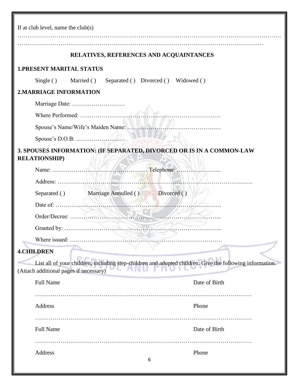| If at club level, name the $club(s)$                                                                                                               |
|----------------------------------------------------------------------------------------------------------------------------------------------------|
| RELATIVES, REFERENCES AND ACQUAINTANCES                                                                                                            |
| <b>1.PRESENT MARITAL STATUS</b>                                                                                                                    |
| Single () Married ()<br>Separated () Divorced () Widowed ()                                                                                        |
| <b>2.MARRIAGE INFORMATION</b>                                                                                                                      |
|                                                                                                                                                    |
|                                                                                                                                                    |
|                                                                                                                                                    |
|                                                                                                                                                    |
| 3. SPOUSES INFORMATION: (IF SEPARATED, DIVORCED OR IS IN A COMMON-LAW<br><b>RELATIONSHIP</b> )                                                     |
|                                                                                                                                                    |
| Address:                                                                                                                                           |
| Separated () Marriage Annulled () Divorced ()                                                                                                      |
|                                                                                                                                                    |
|                                                                                                                                                    |
|                                                                                                                                                    |
| Where issued:                                                                                                                                      |
| <b>4.CHILDREN</b>                                                                                                                                  |
| List all of your children, including step-children and adopted children. Give the following information.<br>(Attach additional pages if necessary) |
| <b>Full Name</b><br>Date of Birth                                                                                                                  |
| Address<br>Phone                                                                                                                                   |
| Date of Birth<br><b>Full Name</b>                                                                                                                  |
| Address<br>Phone<br>6                                                                                                                              |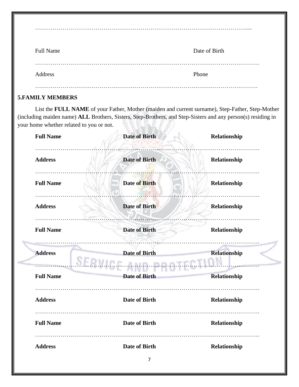|                       | <b>Full Name</b> | Date of Birth |
|-----------------------|------------------|---------------|
| .<br>Phone<br>Address |                  |               |

………………………………………………………………………………………………....

#### **5.FAMILY MEMBERS**

List the **FULL NAME** of your Father, Mother (maiden and current surname), Step-Father, Step-Mother (including maiden name) **ALL** Brothers, Sisters, Step-Brothers, and Step-Sisters and any person(s) residing in your home whether related to you or not.

| <b>Full Name</b> | <b>Date of Birth</b>             | Relationship        |
|------------------|----------------------------------|---------------------|
| <b>Address</b>   | <b>Date of Birth</b>             | Relationship        |
| <b>Full Name</b> | <b>Date of Birth</b>             | Relationship        |
| <b>Address</b>   | <b>Date of Birth</b>             | Relationship        |
| <b>Full Name</b> | <b>Date of Birth</b>             | Relationship        |
| <b>Address</b>   | <b>Date of Birth</b><br>AITY ITY | <b>Relationship</b> |
| <b>Full Name</b> | <b>Date of Birth</b>             | Relationship        |
| <b>Address</b>   | <b>Date of Birth</b>             | Relationship        |
| <b>Full Name</b> | <b>Date of Birth</b>             | Relationship        |
| <b>Address</b>   | <b>Date of Birth</b>             | Relationship        |
|                  | 7                                |                     |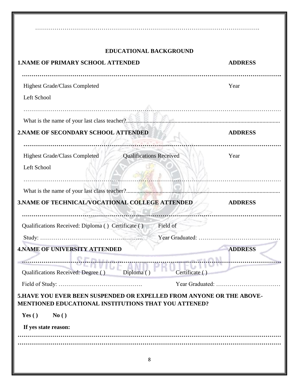| <b>EDUCATIONAL BACKGROUND</b>                                                                                                                                                                                                                                                                                                                    |                |
|--------------------------------------------------------------------------------------------------------------------------------------------------------------------------------------------------------------------------------------------------------------------------------------------------------------------------------------------------|----------------|
| <b>1.NAME OF PRIMARY SCHOOL ATTENDED</b>                                                                                                                                                                                                                                                                                                         | <b>ADDRESS</b> |
|                                                                                                                                                                                                                                                                                                                                                  |                |
| Highest Grade/Class Completed                                                                                                                                                                                                                                                                                                                    | Year           |
| Left School                                                                                                                                                                                                                                                                                                                                      |                |
| What is the name of your last class teacher?                                                                                                                                                                                                                                                                                                     |                |
| 2. NAME OF SECONDARY SCHOOL ATTENDED                                                                                                                                                                                                                                                                                                             | <b>ADDRESS</b> |
| <b>Qualifications Received</b><br>Highest Grade/Class Completed<br>Left School                                                                                                                                                                                                                                                                   | Year           |
| 3. NAME OF TECHNICAL/VOCATIONAL COLLEGE ATTENDED                                                                                                                                                                                                                                                                                                 | <b>ADDRESS</b> |
| Qualifications Received: Diploma () Certificate ()<br>Field of                                                                                                                                                                                                                                                                                   |                |
| Year Graduated:<br><b>4.NAME OF UNIVERSITY ATTENDED</b><br>endiana and the contract of the contract of the contract of the contract of the contract of the contract of the contract of the contract of the contract of the contract of the contract of the contract of the contract of th<br>Qualifications Received: Degree ()<br>Certificate ( | <b>ADDRESS</b> |
|                                                                                                                                                                                                                                                                                                                                                  |                |
| 5. HAVE YOU EVER BEEN SUSPENDED OR EXPELLED FROM ANYONE OR THE ABOVE-<br><b>MENTIONED EDUCATIONAL INSTITUTIONS THAT YOU ATTENED?</b>                                                                                                                                                                                                             |                |
| Yes $()$<br>No()                                                                                                                                                                                                                                                                                                                                 |                |
| If yes state reason:                                                                                                                                                                                                                                                                                                                             |                |
|                                                                                                                                                                                                                                                                                                                                                  |                |
| 8                                                                                                                                                                                                                                                                                                                                                |                |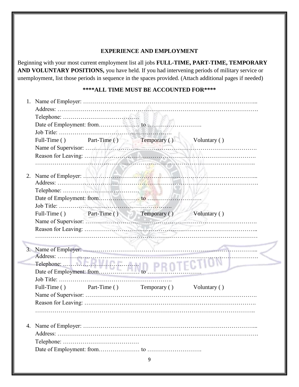#### **EXPERIENCE AND EMPLOYMENT**

Beginning with your most current employment list all jobs **FULL-TIME, PART-TIME, TEMPORARY AND VOLUNTARY POSITIONS,** you have held. If you had intervening periods of military service or unemployment, list those periods in sequence in the spaces provided. (Attach additional pages if needed)

|    | Full-Time () Part-Time () Temporary ()<br>Voluntary () |  |
|----|--------------------------------------------------------|--|
|    |                                                        |  |
|    |                                                        |  |
|    |                                                        |  |
| 2. |                                                        |  |
|    |                                                        |  |
|    |                                                        |  |
|    |                                                        |  |
|    |                                                        |  |
|    | Full-Time () Part-Time () Temporary ()<br>Voluntary () |  |
|    |                                                        |  |
|    |                                                        |  |
|    |                                                        |  |
|    |                                                        |  |
|    |                                                        |  |
|    |                                                        |  |
|    |                                                        |  |
|    |                                                        |  |
|    | Full-Time () Part-Time () Temporary () Voluntary ()    |  |
|    |                                                        |  |
|    |                                                        |  |
|    |                                                        |  |
|    |                                                        |  |
|    |                                                        |  |
|    |                                                        |  |
|    |                                                        |  |
|    |                                                        |  |
|    |                                                        |  |

**COL**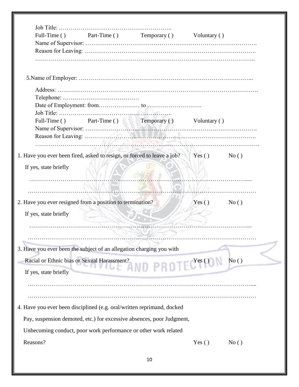|                                                                                | Full-Time () Part-Time () Temporary () |                                        | Voluntary () |      |
|--------------------------------------------------------------------------------|----------------------------------------|----------------------------------------|--------------|------|
|                                                                                |                                        |                                        |              |      |
|                                                                                |                                        |                                        |              |      |
|                                                                                |                                        |                                        |              |      |
|                                                                                |                                        |                                        |              |      |
|                                                                                |                                        |                                        |              |      |
|                                                                                |                                        |                                        |              |      |
|                                                                                |                                        |                                        |              |      |
|                                                                                |                                        |                                        |              |      |
| Full-Time ()                                                                   |                                        | Part-Time () Temporary () Voluntary () |              |      |
|                                                                                |                                        |                                        |              |      |
|                                                                                |                                        |                                        |              |      |
|                                                                                |                                        |                                        |              |      |
| 1. Have you ever been fired, asked to resign, or forced to leave a job? Yes () |                                        |                                        |              | No() |
| If yes, state briefly                                                          |                                        |                                        |              |      |
|                                                                                |                                        |                                        |              |      |
|                                                                                |                                        |                                        |              |      |
|                                                                                |                                        |                                        |              |      |
| 2. Have you ever resigned from a position to termination?                      |                                        |                                        | Yes()        | No() |
| If yes, state briefly                                                          |                                        |                                        |              |      |
|                                                                                |                                        |                                        |              |      |
|                                                                                |                                        |                                        |              |      |
|                                                                                |                                        |                                        |              |      |
|                                                                                |                                        |                                        |              |      |
| 3. Have you ever been the subject of an allegation charging you with           |                                        |                                        |              |      |
| Racial or Ethnic bias or Sexual Harassment?                                    |                                        |                                        |              | No() |
| If yes, state briefly                                                          |                                        | SSINERITY AND PROTECTION               |              |      |
|                                                                                |                                        |                                        |              |      |
|                                                                                |                                        |                                        |              |      |
|                                                                                |                                        |                                        |              |      |
| 4. Have you ever been disciplined (e.g. oral/written reprimand, docked         |                                        |                                        |              |      |
| Pay, suspension demoted, etc.) for excessive absences, poor Judgment,          |                                        |                                        |              |      |
| Unbecoming conduct, poor work performance or other work related                |                                        |                                        |              |      |
| Reasons?                                                                       |                                        |                                        | Yes $()$     | No() |
|                                                                                |                                        |                                        |              |      |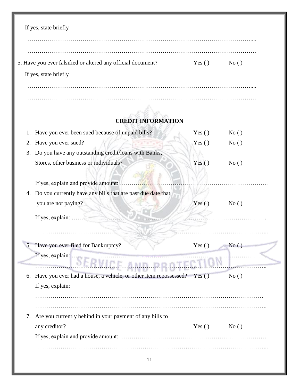| 5. Have you ever falsified or altered any official document?<br>If yes, state briefly | Yes $()$ | No() |
|---------------------------------------------------------------------------------------|----------|------|
|                                                                                       |          |      |
|                                                                                       |          |      |
|                                                                                       |          |      |
|                                                                                       |          |      |
| <b>CREDIT INFORMATION</b>                                                             |          |      |
| Have you ever been sued because of unpaid bills?<br>1.                                | Yes $()$ | No() |
| Have you ever sued?<br>2.                                                             | Yes $()$ | No() |
| Do you have any outstanding credit/loans with Banks,<br>3.                            |          |      |
| Stores, other business or individuals?                                                | Yes $()$ | No() |
| If yes, explain and provide amount:                                                   |          |      |
| Do you currently have any bills that are past due date that<br>4.                     |          |      |
| you are not paying?                                                                   | Yes $()$ | No() |
| If yes, explain: .                                                                    |          |      |
|                                                                                       |          |      |
|                                                                                       |          |      |
| Have you ever filed for Bankruptcy?<br>If yes, explain:                               | Yes $()$ | No() |
|                                                                                       |          |      |
| Have you ever had a house, a vehicle, or other item repossessed? Yes ()<br>6.         |          | No() |
| If yes, explain:                                                                      |          |      |
|                                                                                       |          |      |
|                                                                                       |          |      |
|                                                                                       |          |      |
| Are you currently behind in your payment of any bills to<br>7.<br>any creditor?       | Yes $()$ | No() |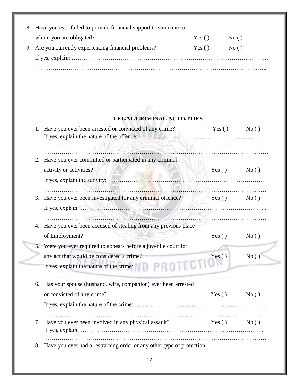| 8. Have you ever failed to provide financial support to some one to |       |      |
|---------------------------------------------------------------------|-------|------|
| whom you are obligated?                                             | Yes() | No() |
| 9. Are you currently experiencing financial problems?               | Yes() | No() |
|                                                                     |       |      |
|                                                                     |       |      |

## **LEGAL/CRIMINAL ACTIVITIES**

| 1. | Have you ever been arrested or convicted of any crime?                                                              | Yes()         | No() |
|----|---------------------------------------------------------------------------------------------------------------------|---------------|------|
| 2. | Have you ever committed or participated in any criminal<br>activity or activities?<br>If yes, explain the activity: | $Yes()$ No () |      |
| 3. | Have you ever been investigated for any criminal offence?                                                           | Yes () $No()$ | .    |
|    | 4. Have you ever been accused of stealing from any previous place<br>of Employment?                                 | Yes $()$      | No() |
|    | 5. Were you ever required to appears before a juvenile court for<br>any act that would be considered a crime?       | Yes $()$      | No() |
| 6. | Has your spouse (husband, wife, companion) ever been arrested<br>or convicted of any crime?                         | Yes()         | No() |
| 7. | Have you ever been involved in any physical assault?                                                                | Yes()         | No() |
| 8. | Have you ever had a restraining order or any other type of protection                                               |               |      |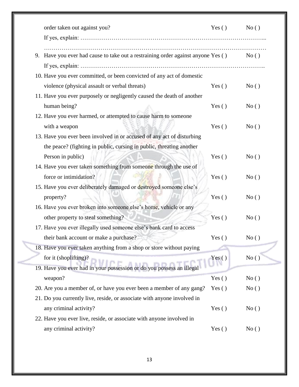| order taken out against you?                                                        | $Yes()$ No () |      |
|-------------------------------------------------------------------------------------|---------------|------|
|                                                                                     |               |      |
| Have you ever had cause to take out a restraining order against anyone Yes ()<br>9. |               | No() |
|                                                                                     |               |      |
| 10. Have you ever committed, or been convicted of any act of domestic               |               |      |
| violence (physical assault or verbal threats)                                       | Yes $()$      | No() |
| 11. Have you ever purposely or negligently caused the death of another              |               |      |
| human being?                                                                        | Yes $()$      | No() |
| 12. Have you ever harmed, or attempted to cause harm to someone                     |               |      |
| with a weapon                                                                       | Yes $()$      | No() |
| 13. Have you ever been involved in or accused of any act of disturbing              |               |      |
| the peace? (fighting in public, cursing in public, threating another                |               |      |
| Person in public)                                                                   | Yes $()$      | No() |
| 14. Have you ever taken something from someone through the use of                   |               |      |
| force or intimidation?                                                              | Yes $()$      | No() |
| 15. Have you ever deliberately damaged or destroyed someone else's                  |               |      |
| property?                                                                           | Yes $()$      | No() |
| 16. Have you ever broken into someone else's home, vehicle or any                   |               |      |
| other property to steal something?                                                  | Yes $( )$     | No() |
| 17. Have you ever illegally used someone else's bank card to access                 |               |      |
| their bank account or make a purchase?                                              | Yes()         | No() |
| 18. Have you ever taken anything from a shop or store without paying                |               |      |
| for it (shoplifting)?                                                               | Yes()         | No() |
| 19. Have you ever had in your possession or do you possess an illegal               |               |      |
| weapon?                                                                             | Yes $()$      | No() |
| 20. Are you a member of, or have you ever been a member of any gang?                | Yes $()$      | No() |
| 21. Do you currently live, reside, or associate with anyone involved in             |               |      |
| any criminal activity?                                                              | Yes $( )$     | No() |
| 22. Have you ever live, reside, or associate with anyone involved in                |               |      |
| any criminal activity?                                                              | Yes $()$      | No() |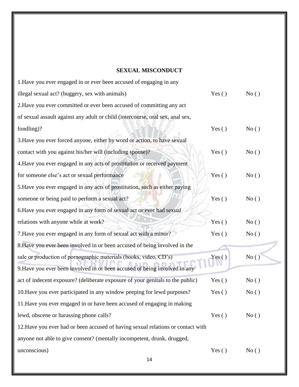#### **SEXUAL MISCONDUCT**

| 1. Have you ever engaged in or ever been accused of engaging in any              |           |      |
|----------------------------------------------------------------------------------|-----------|------|
| illegal sexual act? (buggery, sex with animals)                                  | Yes $()$  | No() |
| 2. Have you ever committed or ever been accused of committing any act            |           |      |
| of sexual assault against any adult or child (intercourse, oral sex, anal sex,   |           |      |
| fondling)?                                                                       | Yes $( )$ | No() |
| 3. Have you ever forced anyone, either by word or action, to have sexual         |           |      |
| contact with you against his/her will (including spouse)?                        | Yes $( )$ | No() |
| 4. Have you ever engaged in any acts of prostitution or received payment         |           |      |
| for someone else's act or sexual performance                                     | Yes $( )$ | No() |
| 5. Have you ever engaged in any acts of prostitution, such as either paying      |           |      |
| someone or being paid to perform a sexual act?                                   | Yes $( )$ | No() |
| 6. Have you ever engaged in any form of sexual act or ever had sexual            |           |      |
| relations with anyone while at work?                                             | Yes $( )$ | No() |
| 7. Have you ever engaged in any form of sexual act with a minor?                 | Yes $()$  | No() |
| 8. Have you ever been involved in or been accused of being involved in the       |           |      |
| sale or production of pornographic materials (books, video, CD's)                | Yes $()$  | No() |
| 9. Have you ever been involved in or been accused of being involved in any       |           |      |
| act of indecent exposure? (deliberate exposure of your genitals to the public)   | Yes $()$  | No() |
| 10. Have you ever participated in any window peeping for lewd purposes?          | Yes $( )$ | No() |
| 11. Have you ever engaged in or have been accused of engaging in making          |           |      |
| lewd, obscene or harassing phone calls?                                          | Yes $()$  | No() |
| 12. Have you ever had or been accused of having sexual relations or contact with |           |      |
| anyone not able to give consent? (mentally incompetent, drunk, drugged,          |           |      |
| unconscious)                                                                     | Yes $()$  | No() |
| 14                                                                               |           |      |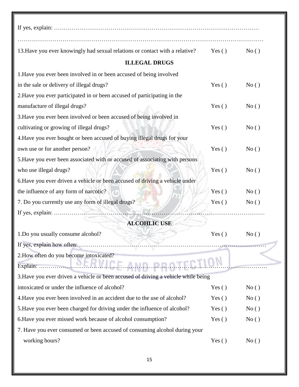| 13. Have you ever knowingly had sexual relations or contact with a relative?       | Yes $()$ | No() |
|------------------------------------------------------------------------------------|----------|------|
| <b>ILLEGAL DRUGS</b>                                                               |          |      |
| 1. Have you ever been involved in or been accused of being involved                |          |      |
| in the sale or delivery of illegal drugs?                                          | Yes $()$ | No() |
| 2. Have you ever participated in or been accused of participating in the           |          |      |
| manufacture of illegal drugs?                                                      | Yes $()$ | No() |
| 3. Have you ever been involved or been accused of being involved in                |          |      |
| cultivating or growing of illegal drugs?                                           | Yes $()$ | No() |
| 4. Have you ever bought or been accused of buying illegal drugs for your           |          |      |
| own use or for another person?                                                     | Yes $()$ | No() |
| 5. Have you ever been associated with or accused of associating with persons       |          |      |
| who use illegal drugs?                                                             | Yes $()$ | No() |
| 6. Have you ever driven a vehicle or been accused of driving a vehicle under       |          |      |
| the influence of any form of narcotic?                                             | Yes $()$ | No() |
| 7. Do you currently use any form of illegal drugs?                                 | Yes $()$ | No() |
|                                                                                    |          |      |
| <b>ALCOHLIC USE</b>                                                                |          |      |
| 1. Do you usually consume alcohol?                                                 | Yes()    | No() |
| If yes, explain how often:                                                         |          |      |
| 2. How often do you become intoxicated?                                            |          |      |
| ICE AMB<br>Explain:                                                                |          |      |
| 3. Have you ever driven a vehicle or been accused of driving a vehicle while being |          |      |
| intoxicated or under the influence of alcohol?                                     | Yes $()$ | No() |
| 4. Have you ever been involved in an accident due to the use of alcohol?           | Yes $()$ | No() |
| 5. Have you ever been charged for driving under the influence of alcohol?          | Yes $()$ | No() |
| 6. Have you ever missed work because of alcohol consumption?                       | Yes $()$ | No() |
| 7. Have you ever consumed or been accused of consuming alcohol during your         |          |      |
| working hours?                                                                     | Yes $()$ | No() |